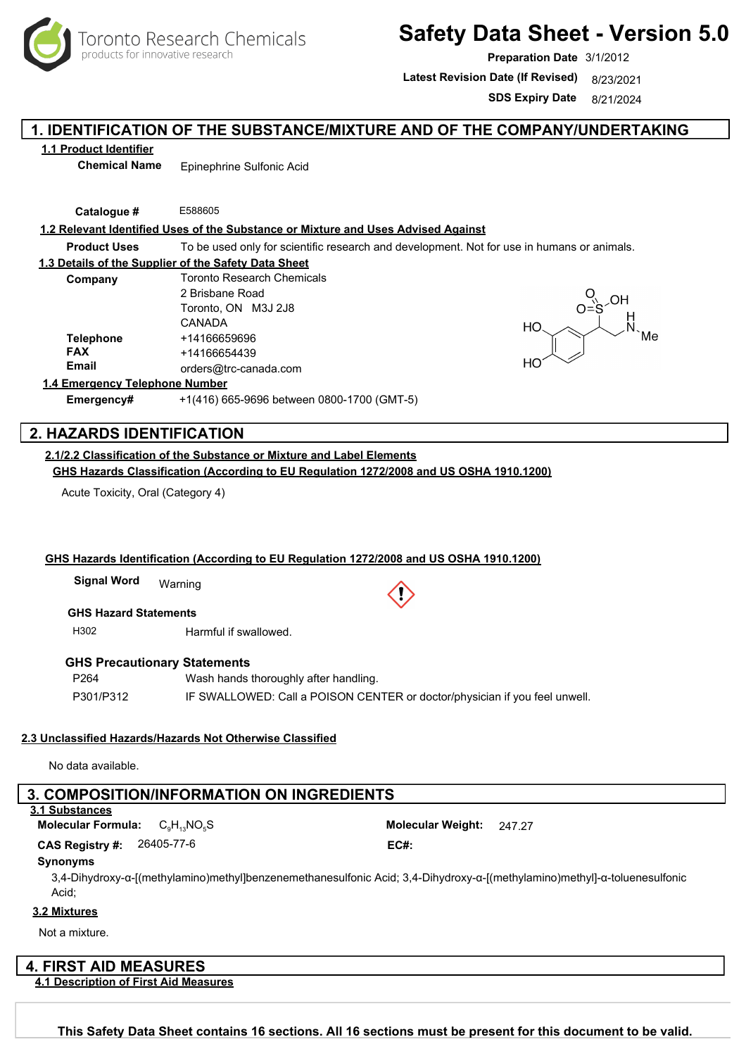

# **Safety Data Sheet - Version 5.0**

**Preparation Date** 3/1/2012

Latest Revision Date (If Revised) 8/23/2021

**SDS Expiry Date** 8/21/2024

### **1. IDENTIFICATION OF THE SUBSTANCE/MIXTURE AND OF THE COMPANY/UNDERTAKING**

### **1.1 Product Identifier**

**Chemical Name** Epinephrine Sulfonic Acid

**Catalogue #** E588605

### **1.2 Relevant Identified Uses of the Substance or Mixture and Uses Advised Against**

**Product Uses** To be used only for scientific research and development. Not for use in humans or animals.

#### **1.3 Details of the Supplier of the Safety Data Sheet**

| Company          | <b>Toronto Research Chemicals</b> |  |
|------------------|-----------------------------------|--|
|                  | 2 Brisbane Road                   |  |
|                  | Toronto, ON M3J 2J8               |  |
|                  | CANADA                            |  |
| <b>Telephone</b> | +14166659696                      |  |
| <b>FAX</b>       | +14166654439                      |  |
| <b>Email</b>     | orders@trc-canada.com             |  |
|                  |                                   |  |



#### **1.4 Emergency Telephone Number**

**Emergency#** +1(416) 665-9696 between 0800-1700 (GMT-5)

### **2. HAZARDS IDENTIFICATION**

**2.1/2.2 Classification of the Substance or Mixture and Label Elements GHS Hazards Classification (According to EU Regulation 1272/2008 and US OSHA 1910.1200)**

Acute Toxicity, Oral (Category 4)

#### **GHS Hazards Identification (According to EU Regulation 1272/2008 and US OSHA 1910.1200)**

Warning **Signal Word**

### **GHS Hazard Statements**

H302 Harmful if swallowed.

#### **GHS Precautionary Statements**

P264 P301/P312 Wash hands thoroughly after handling. IF SWALLOWED: Call a POISON CENTER or doctor/physician if you feel unwell.

#### **2.3 Unclassified Hazards/Hazards Not Otherwise Classified**

No data available.

### **3. COMPOSITION/INFORMATION ON INGREDIENTS**

### **3.1 Substances**

**Molecular Formula:** C<sub>9</sub>H<sub>13</sub>NO<sub>5</sub>S **Molecular Weight:** 247.27

26405-77-6 **CAS Registry #: EC#:**

#### **Synonyms**

3,4-Dihydroxy-α-[(methylamino)methyl]benzenemethanesulfonic Acid; 3,4-Dihydroxy-α-[(methylamino)methyl]-α-toluenesulfonic Acid;

### **3.2 Mixtures**

Not a mixture.

### **4. FIRST AID MEASURES**

**4.1 Description of First Aid Measures**

Toronto Research Chemicals - E588605 Page <sup>1</sup> **This Safety Data Sheet contains 16 sections. All 16 sections must be present for this document to be valid.**

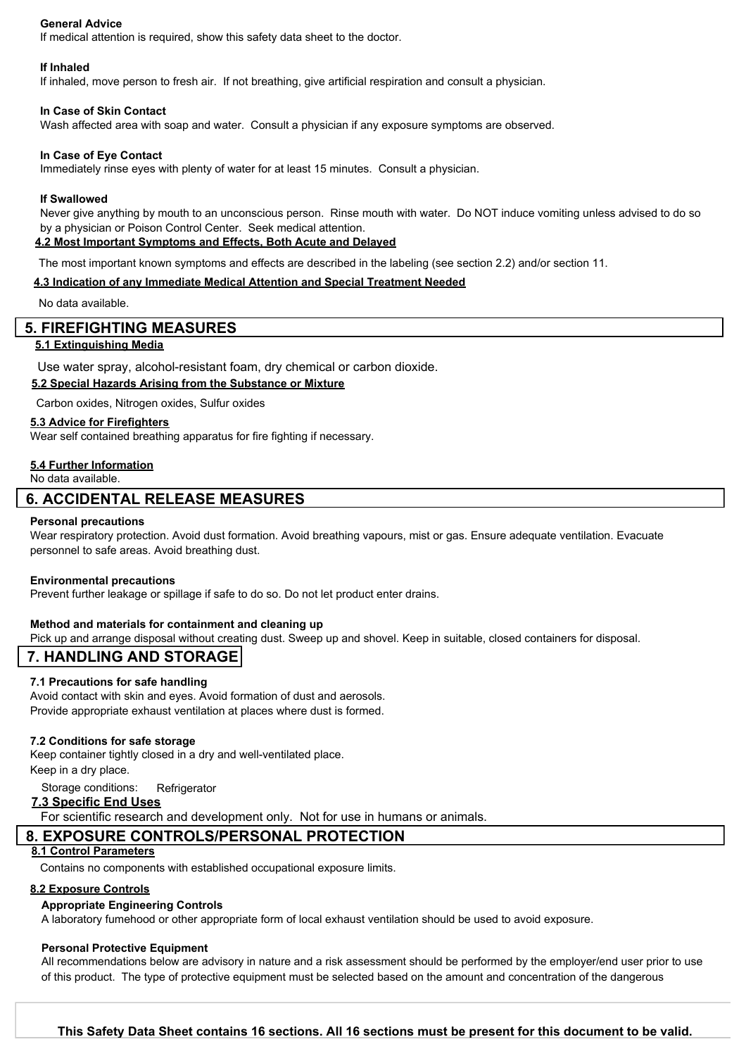### **General Advice**

If medical attention is required, show this safety data sheet to the doctor.

#### **If Inhaled**

If inhaled, move person to fresh air. If not breathing, give artificial respiration and consult a physician.

#### **In Case of Skin Contact**

Wash affected area with soap and water. Consult a physician if any exposure symptoms are observed.

#### **In Case of Eye Contact**

Immediately rinse eyes with plenty of water for at least 15 minutes. Consult a physician.

#### **If Swallowed**

Never give anything by mouth to an unconscious person. Rinse mouth with water. Do NOT induce vomiting unless advised to do so by a physician or Poison Control Center. Seek medical attention. **4.2 Most Important Symptoms and Effects, Both Acute and Delayed**

The most important known symptoms and effects are described in the labeling (see section 2.2) and/or section 11.

#### **4.3 Indication of any Immediate Medical Attention and Special Treatment Needed**

No data available.

### **5. FIREFIGHTING MEASURES**

### **5.1 Extinguishing Media**

Use water spray, alcohol-resistant foam, dry chemical or carbon dioxide.

### **5.2 Special Hazards Arising from the Substance or Mixture**

Carbon oxides, Nitrogen oxides, Sulfur oxides

#### **5.3 Advice for Firefighters**

Wear self contained breathing apparatus for fire fighting if necessary.

#### **5.4 Further Information**

No data available.

### **6. ACCIDENTAL RELEASE MEASURES**

#### **Personal precautions**

Wear respiratory protection. Avoid dust formation. Avoid breathing vapours, mist or gas. Ensure adequate ventilation. Evacuate personnel to safe areas. Avoid breathing dust.

#### **Environmental precautions**

Prevent further leakage or spillage if safe to do so. Do not let product enter drains.

### **Method and materials for containment and cleaning up**

Pick up and arrange disposal without creating dust. Sweep up and shovel. Keep in suitable, closed containers for disposal.

### **7. HANDLING AND STORAGE**

#### **7.1 Precautions for safe handling**

Avoid contact with skin and eyes. Avoid formation of dust and aerosols. Provide appropriate exhaust ventilation at places where dust is formed.

#### **7.2 Conditions for safe storage**

Keep container tightly closed in a dry and well-ventilated place. Keep in a dry place.

Storage conditions: Refrigerator

### **7.3 Specific End Uses**

For scientific research and development only. Not for use in humans or animals.

### **8. EXPOSURE CONTROLS/PERSONAL PROTECTION**

#### **8.1 Control Parameters**

Contains no components with established occupational exposure limits.

### **8.2 Exposure Controls**

#### **Appropriate Engineering Controls**

A laboratory fumehood or other appropriate form of local exhaust ventilation should be used to avoid exposure.

#### **Personal Protective Equipment**

All recommendations below are advisory in nature and a risk assessment should be performed by the employer/end user prior to use of this product. The type of protective equipment must be selected based on the amount and concentration of the dangerous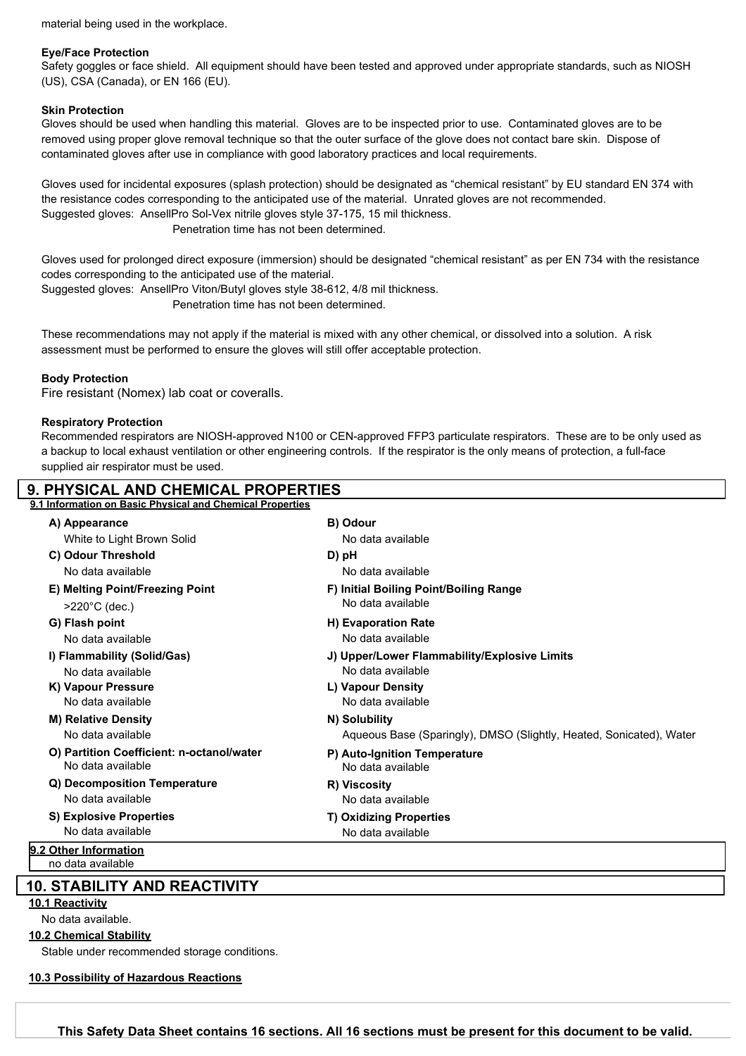material being used in the workplace.

#### **Eye/Face Protection**

Safety goggles or face shield. All equipment should have been tested and approved under appropriate standards, such as NIOSH (US), CSA (Canada), or EN 166 (EU).

### **Skin Protection**

Gloves should be used when handling this material. Gloves are to be inspected prior to use. Contaminated gloves are to be removed using proper glove removal technique so that the outer surface of the glove does not contact bare skin. Dispose of contaminated gloves after use in compliance with good laboratory practices and local requirements.

Gloves used for incidental exposures (splash protection) should be designated as "chemical resistant" by EU standard EN 374 with the resistance codes corresponding to the anticipated use of the material. Unrated gloves are not recommended. Suggested gloves: AnsellPro Sol-Vex nitrile gloves style 37-175, 15 mil thickness. Penetration time has not been determined.

Gloves used for prolonged direct exposure (immersion) should be designated "chemical resistant" as per EN 734 with the resistance codes corresponding to the anticipated use of the material.

Suggested gloves: AnsellPro Viton/Butyl gloves style 38-612, 4/8 mil thickness.

Penetration time has not been determined.

These recommendations may not apply if the material is mixed with any other chemical, or dissolved into a solution. A risk assessment must be performed to ensure the gloves will still offer acceptable protection.

### **Body Protection**

Fire resistant (Nomex) lab coat or coveralls.

### **Respiratory Protection**

Recommended respirators are NIOSH-approved N100 or CEN-approved FFP3 particulate respirators. These are to be only used as a backup to local exhaust ventilation or other engineering controls. If the respirator is the only means of protection, a full-face supplied air respirator must be used.

| <b>9. PHYSICAL AND CHEMICAL PROPERTIES</b>                |                                                                     |
|-----------------------------------------------------------|---------------------------------------------------------------------|
| 9.1 Information on Basic Physical and Chemical Properties |                                                                     |
| A) Appearance                                             | B) Odour                                                            |
| White to Light Brown Solid                                | No data available                                                   |
| C) Odour Threshold                                        | D) pH                                                               |
| No data available                                         | No data available                                                   |
| E) Melting Point/Freezing Point                           | F) Initial Boiling Point/Boiling Range                              |
| $>220^{\circ}$ C (dec.)                                   | No data available                                                   |
| G) Flash point                                            | <b>H</b> ) Evaporation Rate                                         |
| No data available                                         | No data available                                                   |
| I) Flammability (Solid/Gas)                               | J) Upper/Lower Flammability/Explosive Limits                        |
| No data available                                         | No data available                                                   |
| K) Vapour Pressure                                        | L) Vapour Density                                                   |
| No data available                                         | No data available                                                   |
| <b>M) Relative Density</b>                                | N) Solubility                                                       |
| No data available                                         | Aqueous Base (Sparingly), DMSO (Slightly, Heated, Sonicated), Water |
| O) Partition Coefficient: n-octanol/water                 | P) Auto-Ignition Temperature                                        |
| No data available                                         | No data available                                                   |
| Q) Decomposition Temperature                              | R) Viscosity                                                        |
| No data available                                         | No data available                                                   |
| <b>S) Explosive Properties</b>                            | <b>T) Oxidizing Properties</b>                                      |
| No data available                                         | No data available                                                   |
| 9.2 Other Information                                     |                                                                     |
| no data available                                         |                                                                     |

### **10. STABILITY AND REACTIVITY**

### **10.1 Reactivity**

No data available.

**10.2 Chemical Stability**

Stable under recommended storage conditions.

#### **10.3 Possibility of Hazardous Reactions**

Toronto Research Chemicals - E588605 Page <sup>3</sup> **This Safety Data Sheet contains 16 sections. All 16 sections must be present for this document to be valid.**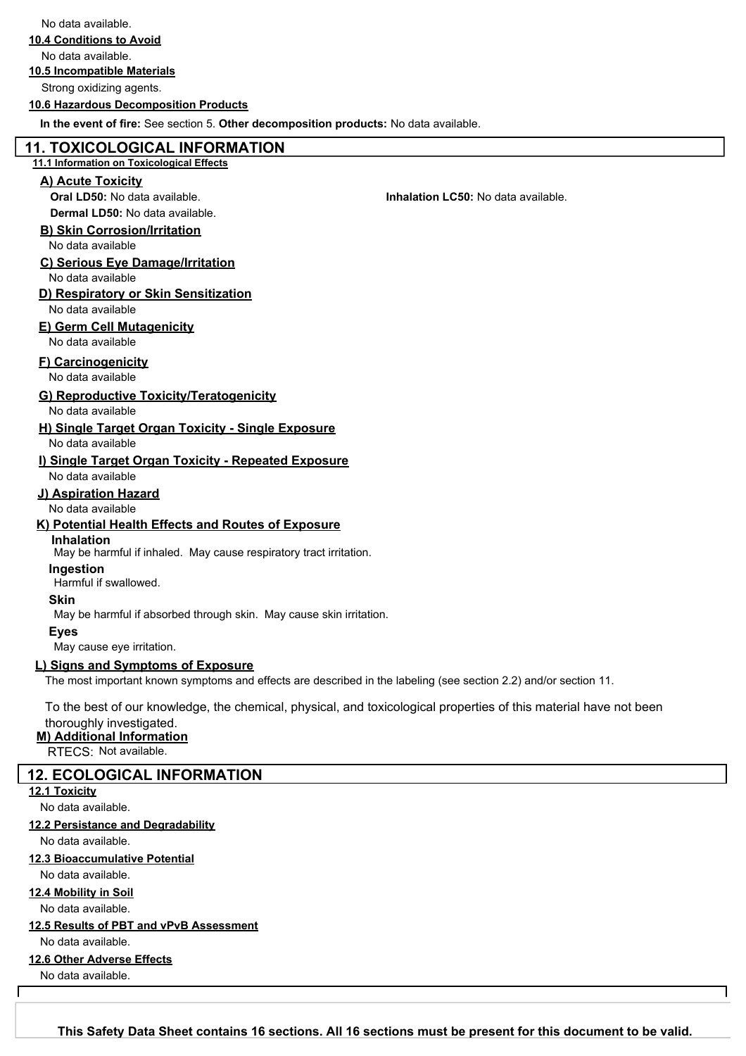No data available.

**10.4 Conditions to Avoid**

No data available.

#### **10.5 Incompatible Materials**

Strong oxidizing agents.

#### **10.6 Hazardous Decomposition Products**

**In the event of fire:** See section 5. **Other decomposition products:** No data available.

### **11. TOXICOLOGICAL INFORMATION**

#### **11.1 Information on Toxicological Effects**

### **A) Acute Toxicity**

**Oral LD50:** No data available. **Inhalation LC50:** No data available.

**Dermal LD50:** No data available.

### **B) Skin Corrosion/Irritation**

No data available

### **C) Serious Eye Damage/Irritation**

No data available

## **D) Respiratory or Skin Sensitization**

No data available

### **E) Germ Cell Mutagenicity**

No data available

### **F) Carcinogenicity**

No data available

### **G) Reproductive Toxicity/Teratogenicity**

No data available

#### **H) Single Target Organ Toxicity - Single Exposure** No data available

#### **I) Single Target Organ Toxicity - Repeated Exposure** No data available

### **J) Aspiration Hazard**

No data available

### **K) Potential Health Effects and Routes of Exposure**

### **Inhalation**

May be harmful if inhaled. May cause respiratory tract irritation.

**Ingestion**

Harmful if swallowed.

### **Skin**

May be harmful if absorbed through skin. May cause skin irritation.

#### **Eyes**

May cause eye irritation.

### **L) Signs and Symptoms of Exposure**

The most important known symptoms and effects are described in the labeling (see section 2.2) and/or section 11.

To the best of our knowledge, the chemical, physical, and toxicological properties of this material have not been

### thoroughly investigated.

**M) Additional Information**

RTECS: Not available.

### **12. ECOLOGICAL INFORMATION**

### **12.1 Toxicity**

No data available.

### **12.2 Persistance and Degradability**

No data available.

### **12.3 Bioaccumulative Potential**

No data available.

### **12.4 Mobility in Soil**

No data available.

### **12.5 Results of PBT and vPvB Assessment**

No data available.

#### **12.6 Other Adverse Effects**

No data available.

Toronto Research Chemicals - E588605 Page <sup>4</sup> **This Safety Data Sheet contains 16 sections. All 16 sections must be present for this document to be valid.**